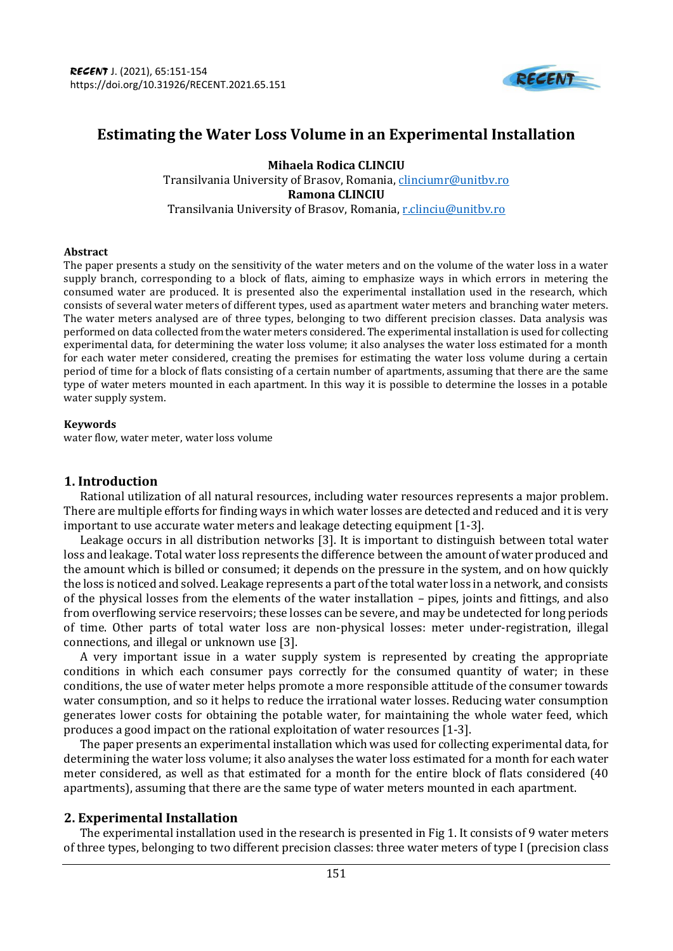

# **Estimating the Water Loss Volume in an Experimental Installation**

**Mihaela Rodica CLINCIU**  Transilvania University of Brasov, Romania, [clinciumr@unitbv.ro](mailto:clinciumr@unitbv.ro) **Ramona CLINCIU**  Transilvania University of Brasov, Romania, [r.clinciu@unitbv.ro](mailto:r.clinciu@unitbv.ro)

#### **Abstract**

The paper presents a study on the sensitivity of the water meters and on the volume of the water loss in a water supply branch, corresponding to a block of flats, aiming to emphasize ways in which errors in metering the consumed water are produced. It is presented also the experimental installation used in the research, which consists of several water meters of different types, used as apartment water meters and branching water meters. The water meters analysed are of three types, belonging to two different precision classes. Data analysis was performed on data collected from the water meters considered. The experimental installation is used for collecting experimental data, for determining the water loss volume; it also analyses the water loss estimated for a month for each water meter considered, creating the premises for estimating the water loss volume during a certain period of time for a block of flats consisting of a certain number of apartments, assuming that there are the same type of water meters mounted in each apartment. In this way it is possible to determine the losses in a potable water supply system.

#### **Keywords**

water flow, water meter, water loss volume

### **1. Introduction**

Rational utilization of all natural resources, including water resources represents a major problem. There are multiple efforts for finding ways in which water losses are detected and reduced and it is very important to use accurate water meters and leakage detecting equipment [1-3].

Leakage occurs in all distribution networks [3]. It is important to distinguish between total water loss and leakage. Total water loss represents the difference between the amount of water produced and the amount which is billed or consumed; it depends on the pressure in the system, and on how quickly the loss is noticed and solved. Leakage represents a part of the total water loss in a network, and consists of the physical losses from the elements of the water installation – pipes, joints and fittings, and also from overflowing service reservoirs; these losses can be severe, and may be undetected for long periods of time. Other parts of total water loss are non-physical losses: meter under-registration, illegal connections, and illegal or unknown use [3].

A very important issue in a water supply system is represented by creating the appropriate conditions in which each consumer pays correctly for the consumed quantity of water; in these conditions, the use of water meter helps promote a more responsible attitude of the consumer towards water consumption, and so it helps to reduce the irrational water losses. Reducing water consumption generates lower costs for obtaining the potable water, for maintaining the whole water feed, which produces a good impact on the rational exploitation of water resources [1-3].

The paper presents an experimental installation which was used for collecting experimental data, for determining the water loss volume; it also analyses the water loss estimated for a month for each water meter considered, as well as that estimated for a month for the entire block of flats considered (40 apartments), assuming that there are the same type of water meters mounted in each apartment.

### **2. Experimental Installation**

The experimental installation used in the research is presented in Fig 1. It consists of 9 water meters of three types, belonging to two different precision classes: three water meters of type I (precision class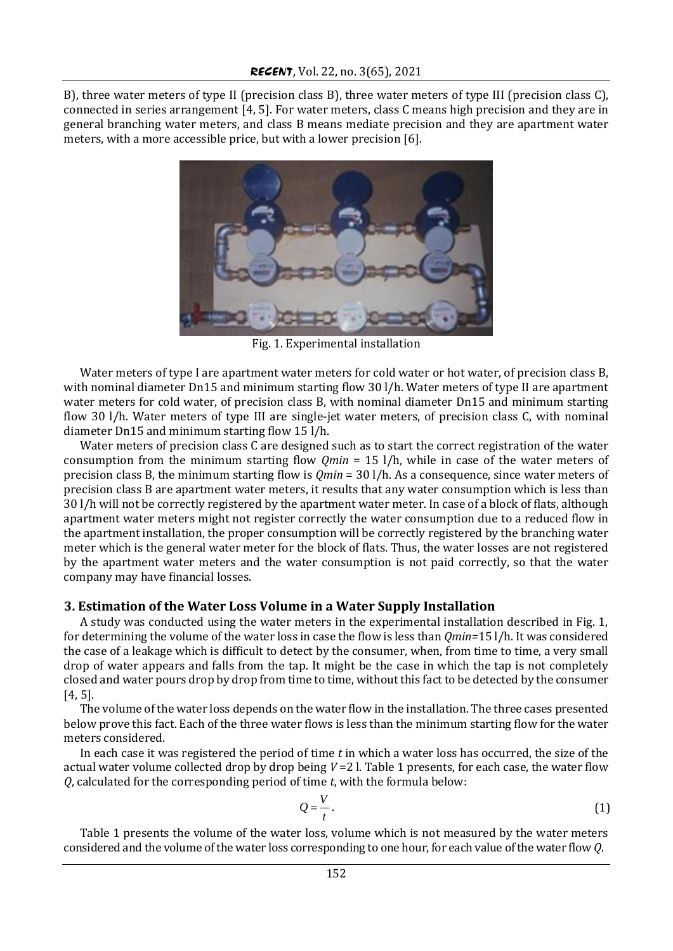B), three water meters of type II (precision class B), three water meters of type III (precision class C), connected in series arrangement [4, 5]. For water meters, class C means high precision and they are in general branching water meters, and class B means mediate precision and they are apartment water meters, with a more accessible price, but with a lower precision [6].



Fig. 1. Experimental installation

Water meters of type I are apartment water meters for cold water or hot water, of precision class B, with nominal diameter Dn15 and minimum starting flow 30 l/h. Water meters of type II are apartment water meters for cold water, of precision class B, with nominal diameter Dn15 and minimum starting flow 30 l/h. Water meters of type III are single-jet water meters, of precision class C, with nominal diameter Dn15 and minimum starting flow 15 l/h.

Water meters of precision class C are designed such as to start the correct registration of the water consumption from the minimum starting flow *Qmin* = 15 l/h, while in case of the water meters of precision class B, the minimum starting flow is *Qmin* = 30 l/h. As a consequence, since water meters of precision class B are apartment water meters, it results that any water consumption which is less than 30 l/h will not be correctly registered by the apartment water meter. In case of a block of flats, although apartment water meters might not register correctly the water consumption due to a reduced flow in the apartment installation, the proper consumption will be correctly registered by the branching water meter which is the general water meter for the block of flats. Thus, the water losses are not registered by the apartment water meters and the water consumption is not paid correctly, so that the water company may have financial losses.

#### **3. Estimation of the Water Loss Volume in a Water Supply Installation**

A study was conducted using the water meters in the experimental installation described in Fig. 1, for determining the volume of the water loss in case the flow is less than *Qmin=*15 l/h. It was considered the case of a leakage which is difficult to detect by the consumer, when, from time to time, a very small drop of water appears and falls from the tap. It might be the case in which the tap is not completely closed and water pours drop by drop from time to time, without this fact to be detected by the consumer [4, 5].

The volume of the water loss depends on the water flow in the installation. The three cases presented below prove this fact. Each of the three water flows is less than the minimum starting flow for the water meters considered.

In each case it was registered the period of time *t* in which a water loss has occurred, the size of the actual water volume collected drop by drop being *V* =2 l. Table 1 presents, for each case, the water flow *Q*, calculated for the corresponding period of time *t*, with the formula below:

$$
Q = \frac{V}{t} \tag{1}
$$

Table 1 presents the volume of the water loss, volume which is not measured by the water meters considered and the volume of the water loss corresponding to one hour, for each value of the water flow *Q*.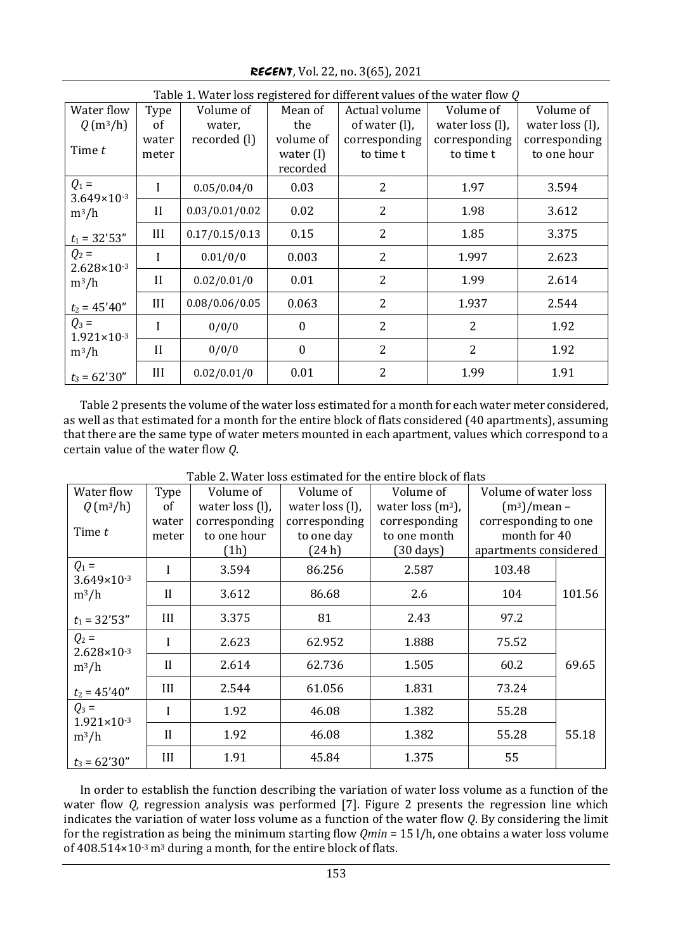Table 1. Water loss registered for different values of the water flow *Q* Water flow *Q* (m3/h) Time *t* Type of water meter Volume of water, recorded (l) Mean of the volume of water (l) recorded Actual volume of water (l), corresponding to time t Volume of water loss (l), corresponding to time t Volume of water loss (l), corresponding to one hour  $Q_1 =$ 3.649×10-3  $m^3/h$  $t_1 = 32'53''$  $1 \mid 0.05/0.04/0 \mid 0.03 \mid 2 \mid 1.97 \mid 3.594$ II 0.03/0.01/0.02 0.02 2 1.98 3.612 III  $\vert 0.17/0.15/0.13 \vert$   $0.15 \vert$  2  $\vert$  1.85  $\vert$  3.375  $Q_2 =$ 2.628×10-3 m3/h  $t_2 = 45'40''$  $1 \mid 0.01/0/0 \mid 0.003 \mid 2 \mid 1.997 \mid 2.623$ II 0.02/0.01/0 0.01 2 1.99 2.614  $III \t 0.08/0.06/0.05 \t 0.063 \t 2 \t 1.937 \t 2.544$  $Q_3 =$ 1.921×10-3  $m^3/h$  $t_3 = 62'30''$  $I \begin{array}{|c|c|c|c|c|c|c|c|} \hline 0 & 0 & 2 & 2 & 2 & 1.92 \ \hline \end{array}$  $II \begin{array}{|c|c|c|c|c|c|c|c|} \hline 0 & 0 & 0 & 2 & 2 & 2 & 1.92 \ \hline \end{array}$ III 0.02/0.01/0 0.01 2 1.99 1.91

*RECENT*, Vol. 22, no. 3(65), 2021

Table 2 presents the volume of the water loss estimated for a month for each water meter considered, as well as that estimated for a month for the entire block of flats considered (40 apartments), assuming that there are the same type of water meters mounted in each apartment, values which correspond to a certain value of the water flow *Q*.

| Water flow                                   | Type           | Volume of                            | Volume of                            | Volume of                                            | Volume of water loss                                          |        |
|----------------------------------------------|----------------|--------------------------------------|--------------------------------------|------------------------------------------------------|---------------------------------------------------------------|--------|
| $Q(m^3/h)$                                   | of             | water loss (l),                      | water loss (l),                      | water loss $(m3)$ ,                                  | $(m^3)$ /mean –                                               |        |
| Time t                                       | water<br>meter | corresponding<br>to one hour<br>(1h) | corresponding<br>to one day<br>(24h) | corresponding<br>to one month<br>$(30 \text{ days})$ | corresponding to one<br>month for 40<br>apartments considered |        |
| $Q_1 =$<br>$3.649 \times 10^{-3}$<br>$m^3/h$ | I              | 3.594                                | 86.256                               | 2.587                                                | 103.48                                                        |        |
|                                              | $\mathbf{I}$   | 3.612                                | 86.68                                | 2.6                                                  | 104                                                           | 101.56 |
| $t_1 = 32'53''$                              | III            | 3.375                                | 81                                   | 2.43                                                 | 97.2                                                          |        |
| $Q_2 =$<br>$2.628 \times 10^{-3}$<br>$m^3/h$ | I              | 2.623                                | 62.952                               | 1.888                                                | 75.52                                                         | 69.65  |
|                                              | $\mathbf{I}$   | 2.614                                | 62.736                               | 1.505                                                | 60.2                                                          |        |
| $t_2 = 45'40''$                              | III            | 2.544                                | 61.056                               | 1.831                                                | 73.24                                                         |        |
| $Q_3 =$<br>$1.921 \times 10^{-3}$<br>$m^3/h$ | I              | 1.92                                 | 46.08                                | 1.382                                                | 55.28                                                         | 55.18  |
|                                              | $_{\rm II}$    | 1.92                                 | 46.08                                | 1.382                                                | 55.28                                                         |        |
| $t_3 = 62'30''$                              | III            | 1.91                                 | 45.84                                | 1.375                                                | 55                                                            |        |

Table 2. Water loss estimated for the entire block of flats

In order to establish the function describing the variation of water loss volume as a function of the water flow *Q*, regression analysis was performed [7]. Figure 2 presents the regression line which indicates the variation of water loss volume as a function of the water flow *Q*. By considering the limit for the registration as being the minimum starting flow *Qmin* = 15 l/h, one obtains a water loss volume of  $408.514\times10^{-3}$  m<sup>3</sup> during a month, for the entire block of flats.